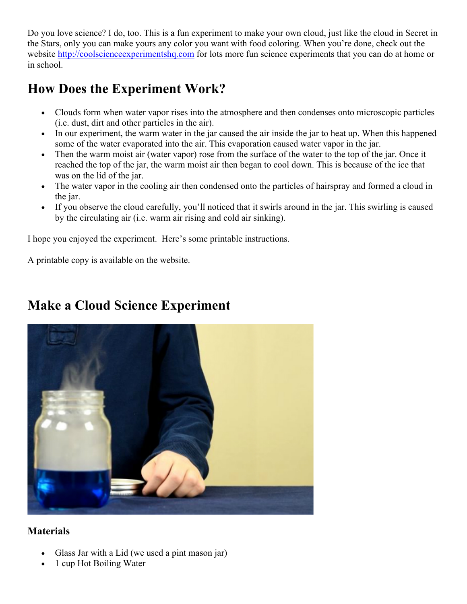Do you love science? I do, too. This is a fun experiment to make your own cloud, just like the cloud in Secret in the Stars, only you can make yours any color you want with food coloring. When you're done, check out the website http://coolscienceexperimentshq.com for lots more fun science experiments that you can do at home or in school.

## **How Does the Experiment Work?**

- Clouds form when water vapor rises into the atmosphere and then condenses onto microscopic particles (i.e. dust, dirt and other particles in the air).
- In our experiment, the warm water in the jar caused the air inside the jar to heat up. When this happened some of the water evaporated into the air. This evaporation caused water vapor in the jar.
- Then the warm moist air (water vapor) rose from the surface of the water to the top of the jar. Once it reached the top of the jar, the warm moist air then began to cool down. This is because of the ice that was on the lid of the jar.
- The water vapor in the cooling air then condensed onto the particles of hairspray and formed a cloud in the jar.
- If you observe the cloud carefully, you'll noticed that it swirls around in the jar. This swirling is caused by the circulating air (i.e. warm air rising and cold air sinking).

I hope you enjoyed the experiment. Here's some printable instructions.

A printable copy is available on the website.

# **Make a Cloud Science Experiment**

### **Materials**

- Glass Jar with a Lid (we used a pint mason jar)
- 1 cup Hot Boiling Water